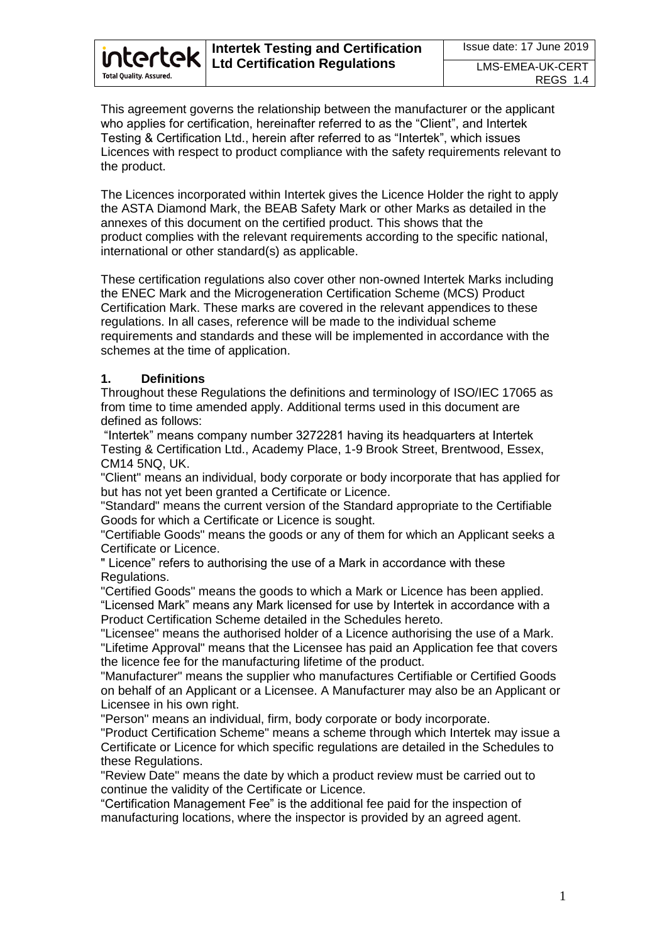This agreement governs the relationship between the manufacturer or the applicant who applies for certification, hereinafter referred to as the "Client", and Intertek Testing & Certification Ltd., herein after referred to as "Intertek", which issues Licences with respect to product compliance with the safety requirements relevant to the product.

The Licences incorporated within Intertek gives the Licence Holder the right to apply the ASTA Diamond Mark, the BEAB Safety Mark or other Marks as detailed in the annexes of this document on the certified product. This shows that the product complies with the relevant requirements according to the specific national, international or other standard(s) as applicable.

These certification regulations also cover other non-owned Intertek Marks including the ENEC Mark and the Microgeneration Certification Scheme (MCS) Product Certification Mark. These marks are covered in the relevant appendices to these regulations. In all cases, reference will be made to the individual scheme requirements and standards and these will be implemented in accordance with the schemes at the time of application.

### **1. Definitions**

Throughout these Regulations the definitions and terminology of ISO/IEC 17065 as from time to time amended apply. Additional terms used in this document are defined as follows:

"Intertek" means company number 3272281 having its headquarters at Intertek Testing & Certification Ltd., Academy Place, 1-9 Brook Street, Brentwood, Essex, CM14 5NQ, UK.

"Client" means an individual, body corporate or body incorporate that has applied for but has not yet been granted a Certificate or Licence.

"Standard" means the current version of the Standard appropriate to the Certifiable Goods for which a Certificate or Licence is sought.

"Certifiable Goods" means the goods or any of them for which an Applicant seeks a Certificate or Licence.

" Licence" refers to authorising the use of a Mark in accordance with these Regulations.

"Certified Goods" means the goods to which a Mark or Licence has been applied. "Licensed Mark" means any Mark licensed for use by Intertek in accordance with a Product Certification Scheme detailed in the Schedules hereto.

"Licensee" means the authorised holder of a Licence authorising the use of a Mark. "Lifetime Approval" means that the Licensee has paid an Application fee that covers the licence fee for the manufacturing lifetime of the product.

"Manufacturer" means the supplier who manufactures Certifiable or Certified Goods on behalf of an Applicant or a Licensee. A Manufacturer may also be an Applicant or Licensee in his own right.

"Person" means an individual, firm, body corporate or body incorporate.

"Product Certification Scheme" means a scheme through which Intertek may issue a Certificate or Licence for which specific regulations are detailed in the Schedules to these Regulations.

"Review Date" means the date by which a product review must be carried out to continue the validity of the Certificate or Licence.

"Certification Management Fee" is the additional fee paid for the inspection of manufacturing locations, where the inspector is provided by an agreed agent.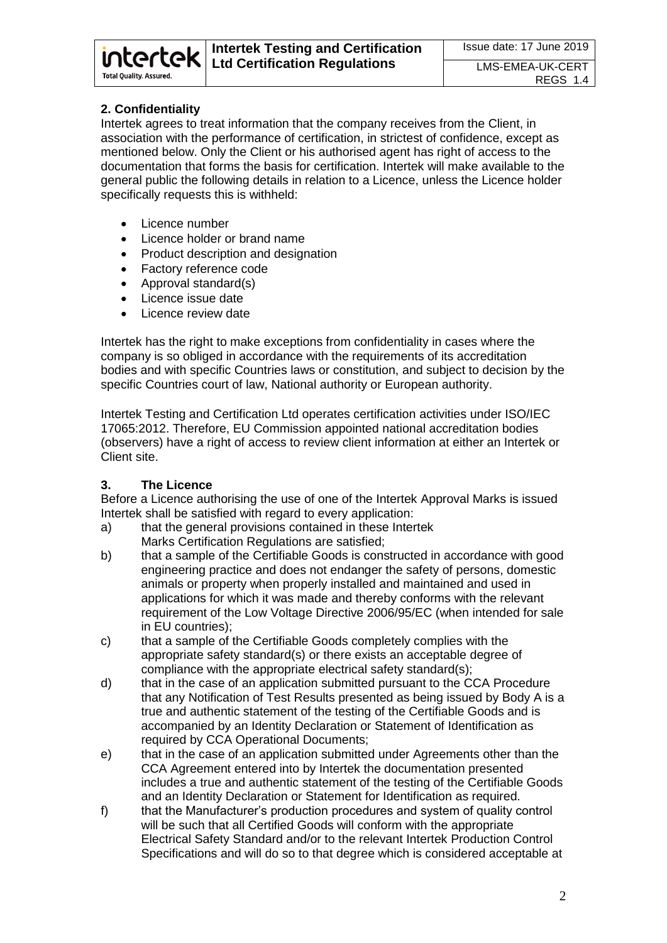# **2. Confidentiality**

intertek

**Total Quality. Assured.** 

Intertek agrees to treat information that the company receives from the Client, in association with the performance of certification, in strictest of confidence, except as mentioned below. Only the Client or his authorised agent has right of access to the documentation that forms the basis for certification. Intertek will make available to the general public the following details in relation to a Licence, unless the Licence holder specifically requests this is withheld:

- Licence number
- Licence holder or brand name
- Product description and designation
- Factory reference code
- Approval standard(s)
- Licence issue date
- Licence review date

Intertek has the right to make exceptions from confidentiality in cases where the company is so obliged in accordance with the requirements of its accreditation bodies and with specific Countries laws or constitution, and subject to decision by the specific Countries court of law, National authority or European authority.

Intertek Testing and Certification Ltd operates certification activities under ISO/IEC 17065:2012. Therefore, EU Commission appointed national accreditation bodies (observers) have a right of access to review client information at either an Intertek or Client site.

# **3. The Licence**

Before a Licence authorising the use of one of the Intertek Approval Marks is issued Intertek shall be satisfied with regard to every application:

- a) that the general provisions contained in these Intertek Marks Certification Regulations are satisfied;
- b) that a sample of the Certifiable Goods is constructed in accordance with good engineering practice and does not endanger the safety of persons, domestic animals or property when properly installed and maintained and used in applications for which it was made and thereby conforms with the relevant requirement of the Low Voltage Directive 2006/95/EC (when intended for sale in EU countries);
- c) that a sample of the Certifiable Goods completely complies with the appropriate safety standard(s) or there exists an acceptable degree of compliance with the appropriate electrical safety standard(s);
- d) that in the case of an application submitted pursuant to the CCA Procedure that any Notification of Test Results presented as being issued by Body A is a true and authentic statement of the testing of the Certifiable Goods and is accompanied by an Identity Declaration or Statement of Identification as required by CCA Operational Documents;
- e) that in the case of an application submitted under Agreements other than the CCA Agreement entered into by Intertek the documentation presented includes a true and authentic statement of the testing of the Certifiable Goods and an Identity Declaration or Statement for Identification as required.
- f) that the Manufacturer's production procedures and system of quality control will be such that all Certified Goods will conform with the appropriate Electrical Safety Standard and/or to the relevant Intertek Production Control Specifications and will do so to that degree which is considered acceptable at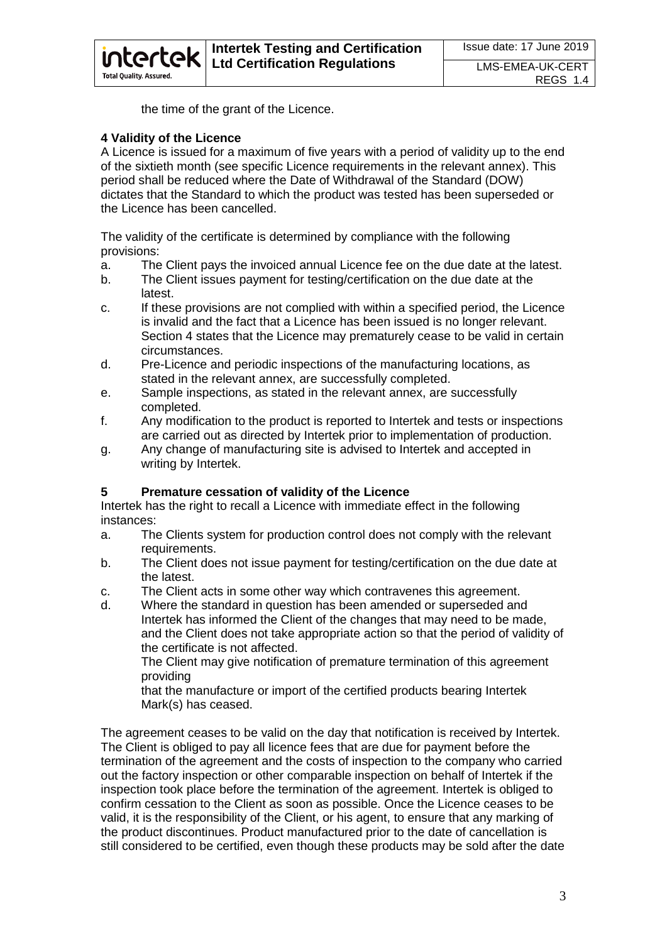the time of the grant of the Licence.

#### **4 Validity of the Licence**

**intertek** 

**Total Quality, Assured.** 

A Licence is issued for a maximum of five years with a period of validity up to the end of the sixtieth month (see specific Licence requirements in the relevant annex). This period shall be reduced where the Date of Withdrawal of the Standard (DOW) dictates that the Standard to which the product was tested has been superseded or the Licence has been cancelled.

The validity of the certificate is determined by compliance with the following provisions:

- a. The Client pays the invoiced annual Licence fee on the due date at the latest.
- b. The Client issues payment for testing/certification on the due date at the latest.
- c. If these provisions are not complied with within a specified period, the Licence is invalid and the fact that a Licence has been issued is no longer relevant. Section 4 states that the Licence may prematurely cease to be valid in certain circumstances.
- d. Pre-Licence and periodic inspections of the manufacturing locations, as stated in the relevant annex, are successfully completed.
- e. Sample inspections, as stated in the relevant annex, are successfully completed.
- f. Any modification to the product is reported to Intertek and tests or inspections are carried out as directed by Intertek prior to implementation of production.
- g. Any change of manufacturing site is advised to Intertek and accepted in writing by Intertek.

# **5 Premature cessation of validity of the Licence**

Intertek has the right to recall a Licence with immediate effect in the following instances:

- a. The Clients system for production control does not comply with the relevant requirements.
- b. The Client does not issue payment for testing/certification on the due date at the latest.
- c. The Client acts in some other way which contravenes this agreement.
- d. Where the standard in question has been amended or superseded and Intertek has informed the Client of the changes that may need to be made, and the Client does not take appropriate action so that the period of validity of the certificate is not affected.

The Client may give notification of premature termination of this agreement providing

that the manufacture or import of the certified products bearing Intertek Mark(s) has ceased.

The agreement ceases to be valid on the day that notification is received by Intertek. The Client is obliged to pay all licence fees that are due for payment before the termination of the agreement and the costs of inspection to the company who carried out the factory inspection or other comparable inspection on behalf of Intertek if the inspection took place before the termination of the agreement. Intertek is obliged to confirm cessation to the Client as soon as possible. Once the Licence ceases to be valid, it is the responsibility of the Client, or his agent, to ensure that any marking of the product discontinues. Product manufactured prior to the date of cancellation is still considered to be certified, even though these products may be sold after the date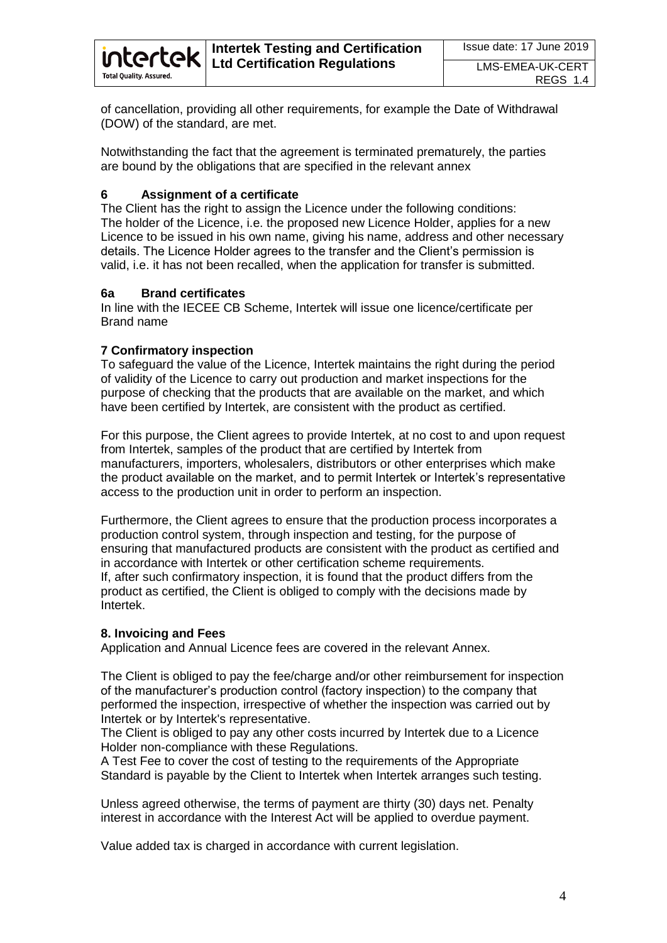

of cancellation, providing all other requirements, for example the Date of Withdrawal (DOW) of the standard, are met.

Notwithstanding the fact that the agreement is terminated prematurely, the parties are bound by the obligations that are specified in the relevant annex

#### **6 Assignment of a certificate**

The Client has the right to assign the Licence under the following conditions: The holder of the Licence, i.e. the proposed new Licence Holder, applies for a new Licence to be issued in his own name, giving his name, address and other necessary details. The Licence Holder agrees to the transfer and the Client's permission is valid, i.e. it has not been recalled, when the application for transfer is submitted.

#### **6a Brand certificates**

In line with the IECEE CB Scheme, Intertek will issue one licence/certificate per Brand name

#### **7 Confirmatory inspection**

To safeguard the value of the Licence, Intertek maintains the right during the period of validity of the Licence to carry out production and market inspections for the purpose of checking that the products that are available on the market, and which have been certified by Intertek, are consistent with the product as certified.

For this purpose, the Client agrees to provide Intertek, at no cost to and upon request from Intertek, samples of the product that are certified by Intertek from manufacturers, importers, wholesalers, distributors or other enterprises which make the product available on the market, and to permit Intertek or Intertek's representative access to the production unit in order to perform an inspection.

Furthermore, the Client agrees to ensure that the production process incorporates a production control system, through inspection and testing, for the purpose of ensuring that manufactured products are consistent with the product as certified and in accordance with Intertek or other certification scheme requirements. If, after such confirmatory inspection, it is found that the product differs from the product as certified, the Client is obliged to comply with the decisions made by Intertek.

#### **8. Invoicing and Fees**

Application and Annual Licence fees are covered in the relevant Annex.

The Client is obliged to pay the fee/charge and/or other reimbursement for inspection of the manufacturer's production control (factory inspection) to the company that performed the inspection, irrespective of whether the inspection was carried out by Intertek or by Intertek's representative.

The Client is obliged to pay any other costs incurred by Intertek due to a Licence Holder non-compliance with these Regulations.

A Test Fee to cover the cost of testing to the requirements of the Appropriate Standard is payable by the Client to Intertek when Intertek arranges such testing.

Unless agreed otherwise, the terms of payment are thirty (30) days net. Penalty interest in accordance with the Interest Act will be applied to overdue payment.

Value added tax is charged in accordance with current legislation.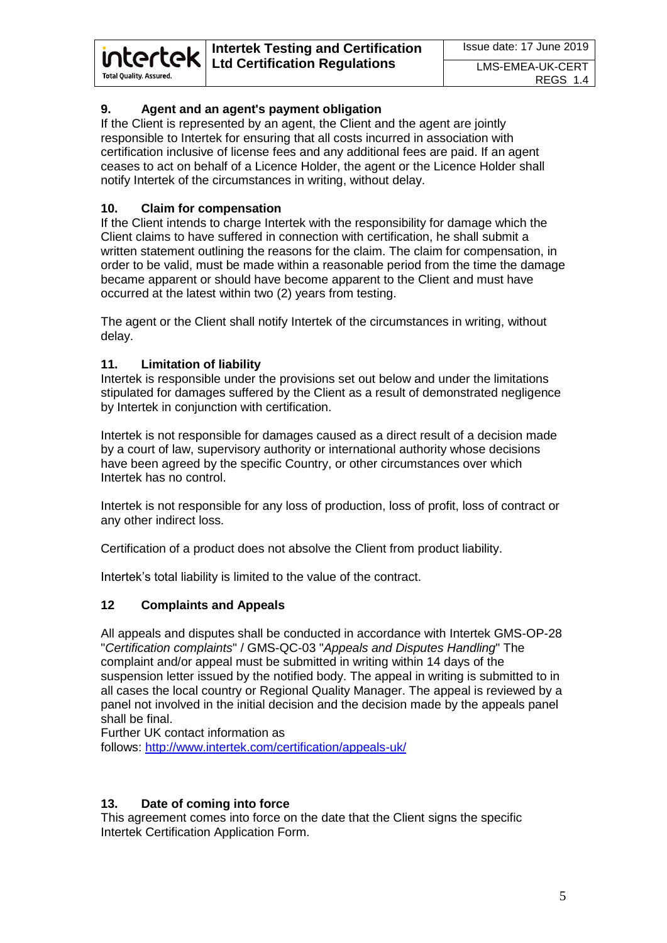# **9. Agent and an agent's payment obligation**

If the Client is represented by an agent, the Client and the agent are jointly responsible to Intertek for ensuring that all costs incurred in association with certification inclusive of license fees and any additional fees are paid. If an agent ceases to act on behalf of a Licence Holder, the agent or the Licence Holder shall notify Intertek of the circumstances in writing, without delay.

### **10. Claim for compensation**

**intertek** 

**Total Quality. Assured.** 

If the Client intends to charge Intertek with the responsibility for damage which the Client claims to have suffered in connection with certification, he shall submit a written statement outlining the reasons for the claim. The claim for compensation, in order to be valid, must be made within a reasonable period from the time the damage became apparent or should have become apparent to the Client and must have occurred at the latest within two (2) years from testing.

The agent or the Client shall notify Intertek of the circumstances in writing, without delay.

#### **11. Limitation of liability**

Intertek is responsible under the provisions set out below and under the limitations stipulated for damages suffered by the Client as a result of demonstrated negligence by Intertek in conjunction with certification.

Intertek is not responsible for damages caused as a direct result of a decision made by a court of law, supervisory authority or international authority whose decisions have been agreed by the specific Country, or other circumstances over which Intertek has no control.

Intertek is not responsible for any loss of production, loss of profit, loss of contract or any other indirect loss.

Certification of a product does not absolve the Client from product liability.

Intertek's total liability is limited to the value of the contract.

#### **12 Complaints and Appeals**

All appeals and disputes shall be conducted in accordance with Intertek GMS-OP-28 "*Certification complaints*" / GMS-QC-03 "*Appeals and Disputes Handling*" The complaint and/or appeal must be submitted in writing within 14 days of the suspension letter issued by the notified body. The appeal in writing is submitted to in all cases the local country or Regional Quality Manager. The appeal is reviewed by a panel not involved in the initial decision and the decision made by the appeals panel shall be final.

Further UK contact information as

follows: <http://www.intertek.com/certification/appeals-uk/>

#### **13. Date of coming into force**

This agreement comes into force on the date that the Client signs the specific Intertek Certification Application Form.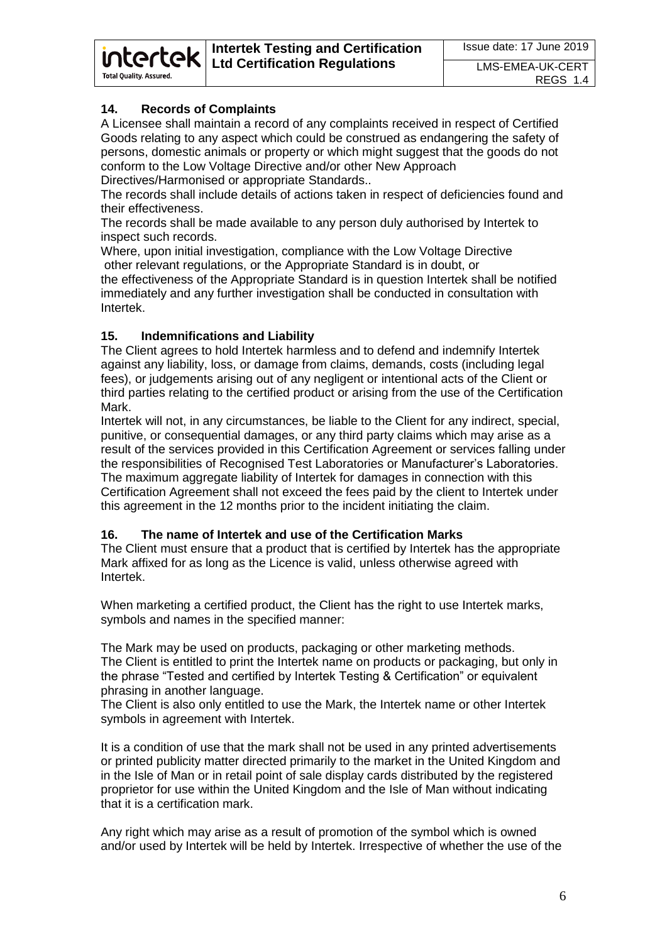# **14. Records of Complaints**

intertek

**Total Quality. Assured.** 

A Licensee shall maintain a record of any complaints received in respect of Certified Goods relating to any aspect which could be construed as endangering the safety of persons, domestic animals or property or which might suggest that the goods do not conform to the Low Voltage Directive and/or other New Approach Directives/Harmonised or appropriate Standards..

The records shall include details of actions taken in respect of deficiencies found and their effectiveness.

The records shall be made available to any person duly authorised by Intertek to inspect such records.

Where, upon initial investigation, compliance with the Low Voltage Directive other relevant regulations, or the Appropriate Standard is in doubt, or the effectiveness of the Appropriate Standard is in question Intertek shall be notified immediately and any further investigation shall be conducted in consultation with Intertek.

### **15. Indemnifications and Liability**

The Client agrees to hold Intertek harmless and to defend and indemnify Intertek against any liability, loss, or damage from claims, demands, costs (including legal fees), or judgements arising out of any negligent or intentional acts of the Client or third parties relating to the certified product or arising from the use of the Certification Mark.

Intertek will not, in any circumstances, be liable to the Client for any indirect, special, punitive, or consequential damages, or any third party claims which may arise as a result of the services provided in this Certification Agreement or services falling under the responsibilities of Recognised Test Laboratories or Manufacturer's Laboratories. The maximum aggregate liability of Intertek for damages in connection with this Certification Agreement shall not exceed the fees paid by the client to Intertek under this agreement in the 12 months prior to the incident initiating the claim.

# **16. The name of Intertek and use of the Certification Marks**

The Client must ensure that a product that is certified by Intertek has the appropriate Mark affixed for as long as the Licence is valid, unless otherwise agreed with Intertek.

When marketing a certified product, the Client has the right to use Intertek marks, symbols and names in the specified manner:

The Mark may be used on products, packaging or other marketing methods. The Client is entitled to print the Intertek name on products or packaging, but only in the phrase "Tested and certified by Intertek Testing & Certification" or equivalent phrasing in another language.

The Client is also only entitled to use the Mark, the Intertek name or other Intertek symbols in agreement with Intertek.

It is a condition of use that the mark shall not be used in any printed advertisements or printed publicity matter directed primarily to the market in the United Kingdom and in the Isle of Man or in retail point of sale display cards distributed by the registered proprietor for use within the United Kingdom and the Isle of Man without indicating that it is a certification mark.

Any right which may arise as a result of promotion of the symbol which is owned and/or used by Intertek will be held by Intertek. Irrespective of whether the use of the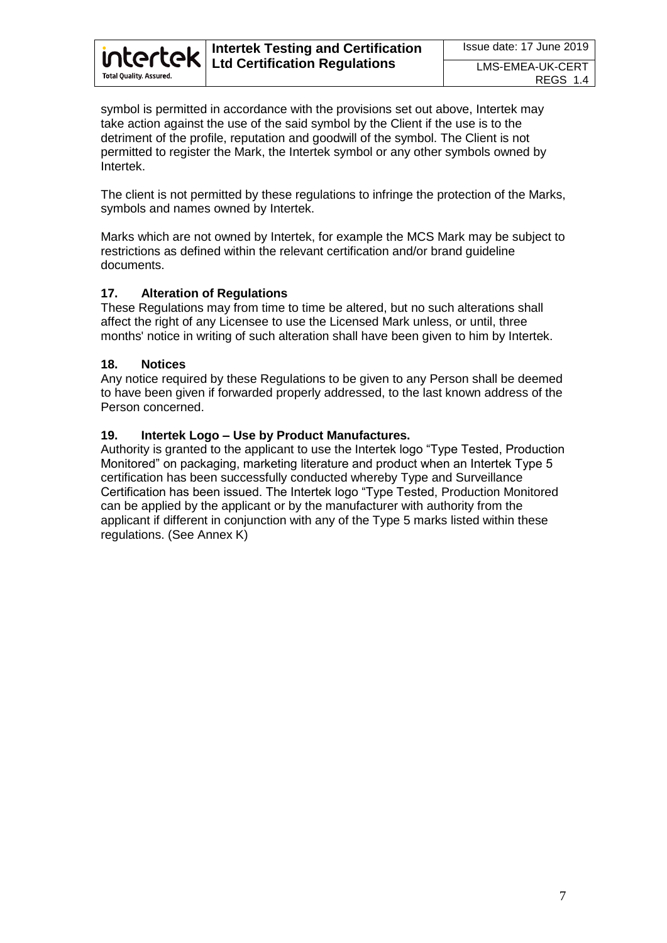

symbol is permitted in accordance with the provisions set out above, Intertek may take action against the use of the said symbol by the Client if the use is to the detriment of the profile, reputation and goodwill of the symbol. The Client is not permitted to register the Mark, the Intertek symbol or any other symbols owned by Intertek.

The client is not permitted by these regulations to infringe the protection of the Marks, symbols and names owned by Intertek.

Marks which are not owned by Intertek, for example the MCS Mark may be subject to restrictions as defined within the relevant certification and/or brand guideline documents.

### **17. Alteration of Regulations**

These Regulations may from time to time be altered, but no such alterations shall affect the right of any Licensee to use the Licensed Mark unless, or until, three months' notice in writing of such alteration shall have been given to him by Intertek.

#### **18. Notices**

Any notice required by these Regulations to be given to any Person shall be deemed to have been given if forwarded properly addressed, to the last known address of the Person concerned.

#### **19. Intertek Logo – Use by Product Manufactures.**

Authority is granted to the applicant to use the Intertek logo "Type Tested, Production Monitored" on packaging, marketing literature and product when an Intertek Type 5 certification has been successfully conducted whereby Type and Surveillance Certification has been issued. The Intertek logo "Type Tested, Production Monitored can be applied by the applicant or by the manufacturer with authority from the applicant if different in conjunction with any of the Type 5 marks listed within these regulations. (See Annex K)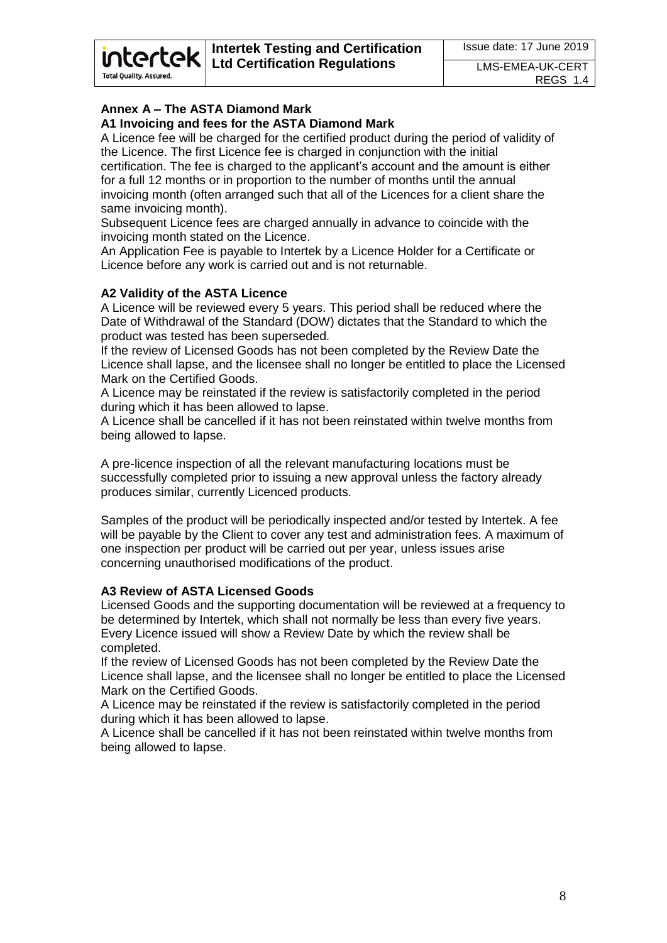# **Annex A – The ASTA Diamond Mark**

intertek

**Total Quality, Assured.** 

# **A1 Invoicing and fees for the ASTA Diamond Mark**

A Licence fee will be charged for the certified product during the period of validity of the Licence. The first Licence fee is charged in conjunction with the initial certification. The fee is charged to the applicant's account and the amount is either for a full 12 months or in proportion to the number of months until the annual invoicing month (often arranged such that all of the Licences for a client share the same invoicing month).

Subsequent Licence fees are charged annually in advance to coincide with the invoicing month stated on the Licence.

An Application Fee is payable to Intertek by a Licence Holder for a Certificate or Licence before any work is carried out and is not returnable.

# **A2 Validity of the ASTA Licence**

A Licence will be reviewed every 5 years. This period shall be reduced where the Date of Withdrawal of the Standard (DOW) dictates that the Standard to which the product was tested has been superseded.

If the review of Licensed Goods has not been completed by the Review Date the Licence shall lapse, and the licensee shall no longer be entitled to place the Licensed Mark on the Certified Goods.

A Licence may be reinstated if the review is satisfactorily completed in the period during which it has been allowed to lapse.

A Licence shall be cancelled if it has not been reinstated within twelve months from being allowed to lapse.

A pre-licence inspection of all the relevant manufacturing locations must be successfully completed prior to issuing a new approval unless the factory already produces similar, currently Licenced products.

Samples of the product will be periodically inspected and/or tested by Intertek. A fee will be payable by the Client to cover any test and administration fees. A maximum of one inspection per product will be carried out per year, unless issues arise concerning unauthorised modifications of the product.

# **A3 Review of ASTA Licensed Goods**

Licensed Goods and the supporting documentation will be reviewed at a frequency to be determined by Intertek, which shall not normally be less than every five years. Every Licence issued will show a Review Date by which the review shall be completed.

If the review of Licensed Goods has not been completed by the Review Date the Licence shall lapse, and the licensee shall no longer be entitled to place the Licensed Mark on the Certified Goods.

A Licence may be reinstated if the review is satisfactorily completed in the period during which it has been allowed to lapse.

A Licence shall be cancelled if it has not been reinstated within twelve months from being allowed to lapse.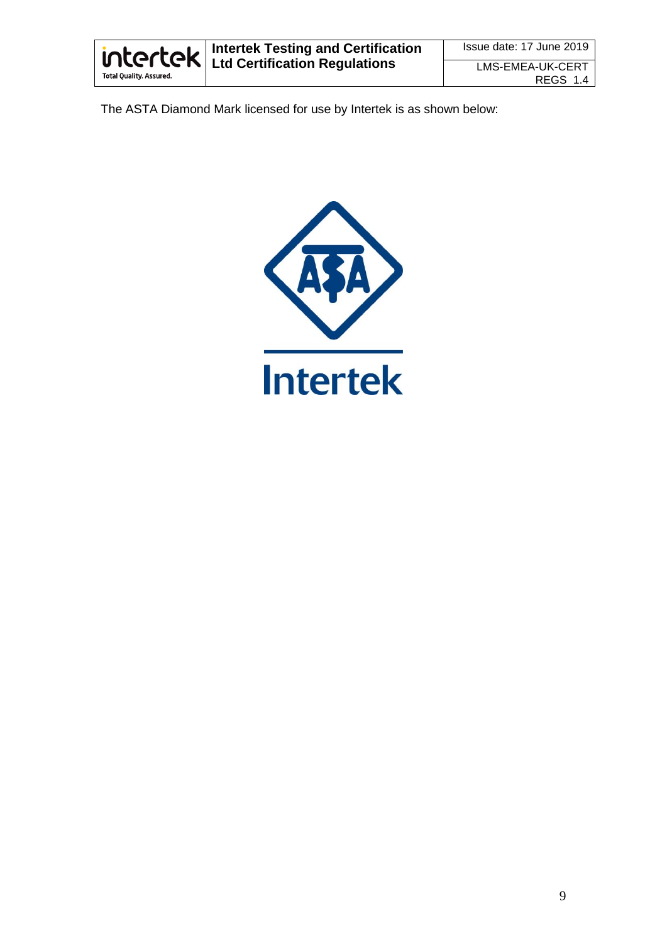

The ASTA Diamond Mark licensed for use by Intertek is as shown below:

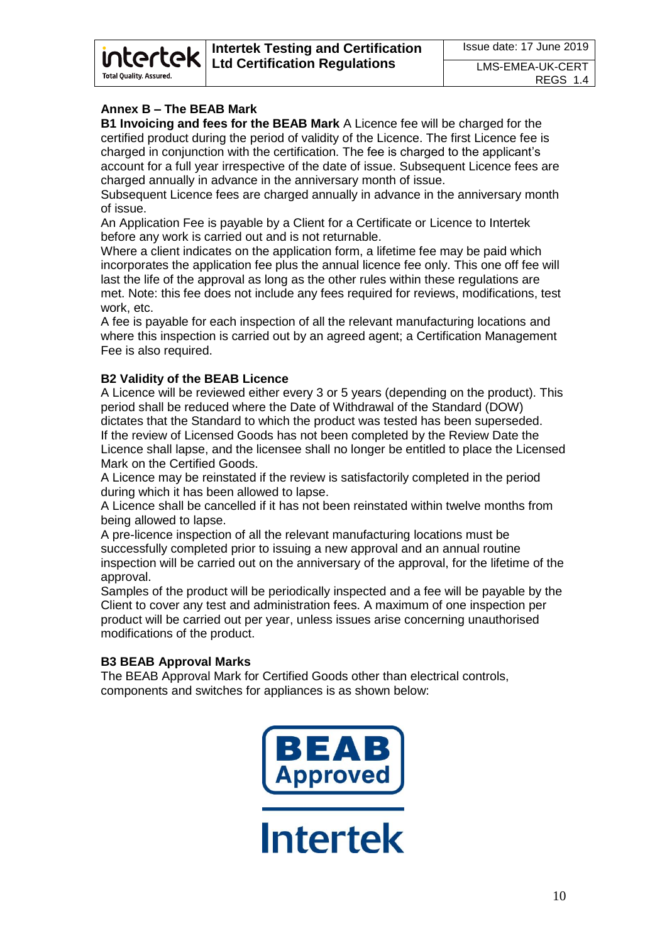# **Annex B – The BEAB Mark**

**intertek** 

**Total Quality, Assured** 

**B1 Invoicing and fees for the BEAB Mark** A Licence fee will be charged for the certified product during the period of validity of the Licence. The first Licence fee is charged in conjunction with the certification. The fee is charged to the applicant's account for a full year irrespective of the date of issue. Subsequent Licence fees are charged annually in advance in the anniversary month of issue.

Subsequent Licence fees are charged annually in advance in the anniversary month of issue.

An Application Fee is payable by a Client for a Certificate or Licence to Intertek before any work is carried out and is not returnable.

Where a client indicates on the application form, a lifetime fee may be paid which incorporates the application fee plus the annual licence fee only. This one off fee will last the life of the approval as long as the other rules within these regulations are met. Note: this fee does not include any fees required for reviews, modifications, test work, etc.

A fee is payable for each inspection of all the relevant manufacturing locations and where this inspection is carried out by an agreed agent; a Certification Management Fee is also required.

### **B2 Validity of the BEAB Licence**

A Licence will be reviewed either every 3 or 5 years (depending on the product). This period shall be reduced where the Date of Withdrawal of the Standard (DOW) dictates that the Standard to which the product was tested has been superseded. If the review of Licensed Goods has not been completed by the Review Date the Licence shall lapse, and the licensee shall no longer be entitled to place the Licensed Mark on the Certified Goods.

A Licence may be reinstated if the review is satisfactorily completed in the period during which it has been allowed to lapse.

A Licence shall be cancelled if it has not been reinstated within twelve months from being allowed to lapse.

A pre-licence inspection of all the relevant manufacturing locations must be successfully completed prior to issuing a new approval and an annual routine inspection will be carried out on the anniversary of the approval, for the lifetime of the approval.

Samples of the product will be periodically inspected and a fee will be payable by the Client to cover any test and administration fees. A maximum of one inspection per product will be carried out per year, unless issues arise concerning unauthorised modifications of the product.

# **B3 BEAB Approval Marks**

The BEAB Approval Mark for Certified Goods other than electrical controls, components and switches for appliances is as shown below:

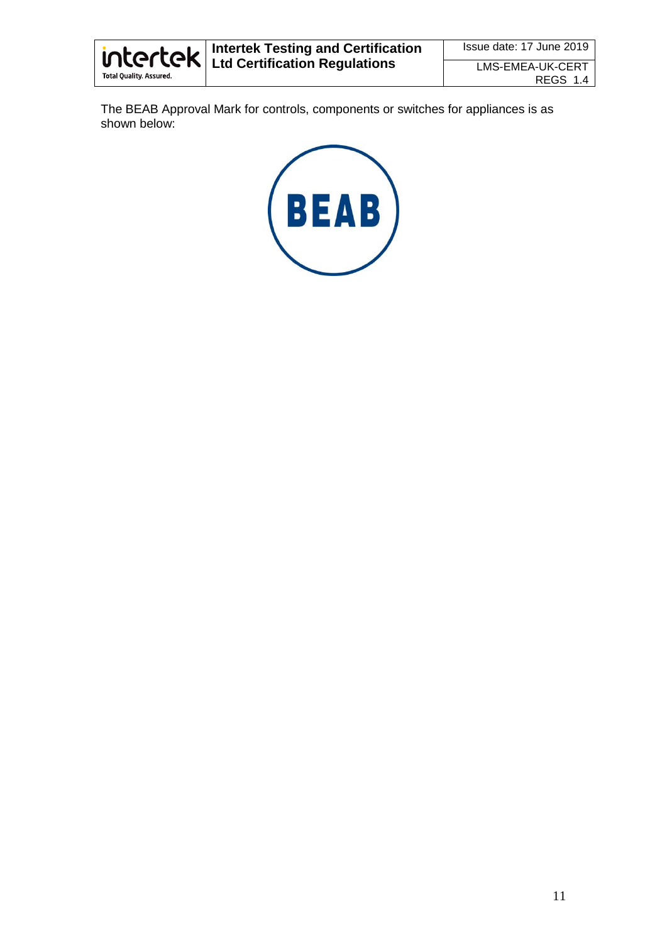

The BEAB Approval Mark for controls, components or switches for appliances is as shown below:

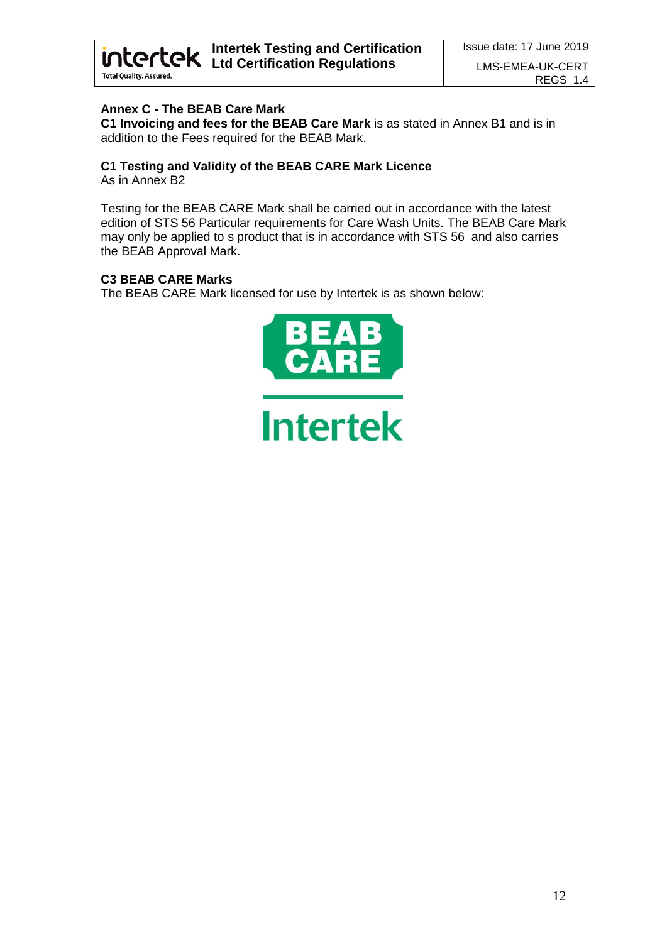

### **Annex C - The BEAB Care Mark**

**C1 Invoicing and fees for the BEAB Care Mark** is as stated in Annex B1 and is in addition to the Fees required for the BEAB Mark.

# **C1 Testing and Validity of the BEAB CARE Mark Licence**

As in Annex B2

Testing for the BEAB CARE Mark shall be carried out in accordance with the latest edition of STS 56 Particular requirements for Care Wash Units. The BEAB Care Mark may only be applied to s product that is in accordance with STS 56 and also carries the BEAB Approval Mark.

#### **C3 BEAB CARE Marks**

The BEAB CARE Mark licensed for use by Intertek is as shown below:

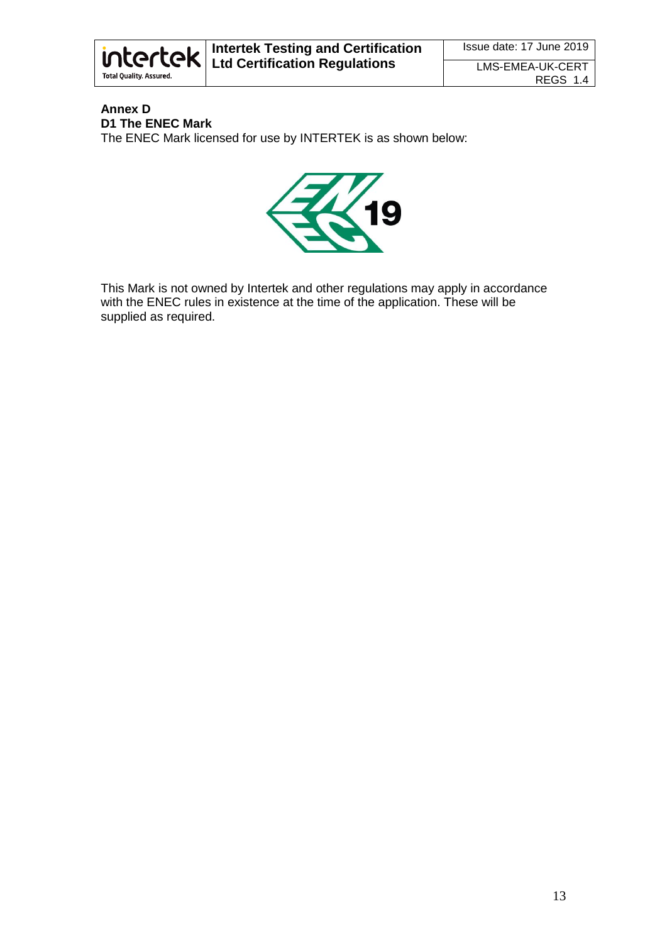

# **Annex D D1 The ENEC Mark**

The ENEC Mark licensed for use by INTERTEK is as shown below:



This Mark is not owned by Intertek and other regulations may apply in accordance with the ENEC rules in existence at the time of the application. These will be supplied as required.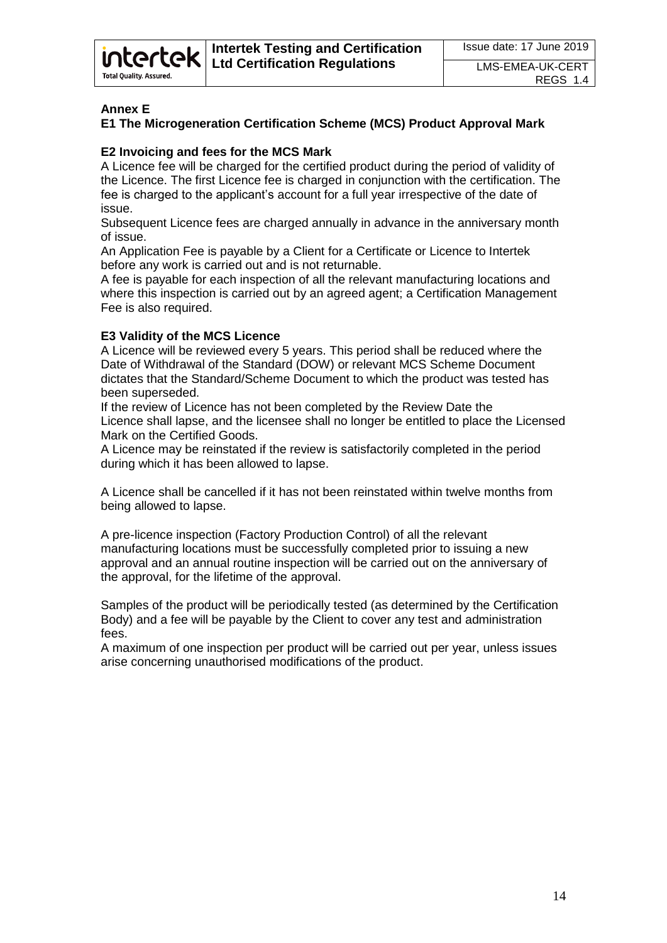# **Annex E**

**Total Quality, Assured.** 

*intertek* 

# **E1 The Microgeneration Certification Scheme (MCS) Product Approval Mark**

### **E2 Invoicing and fees for the MCS Mark**

A Licence fee will be charged for the certified product during the period of validity of the Licence. The first Licence fee is charged in conjunction with the certification. The fee is charged to the applicant's account for a full year irrespective of the date of issue.

Subsequent Licence fees are charged annually in advance in the anniversary month of issue.

An Application Fee is payable by a Client for a Certificate or Licence to Intertek before any work is carried out and is not returnable.

A fee is payable for each inspection of all the relevant manufacturing locations and where this inspection is carried out by an agreed agent; a Certification Management Fee is also required.

#### **E3 Validity of the MCS Licence**

A Licence will be reviewed every 5 years. This period shall be reduced where the Date of Withdrawal of the Standard (DOW) or relevant MCS Scheme Document dictates that the Standard/Scheme Document to which the product was tested has been superseded.

If the review of Licence has not been completed by the Review Date the Licence shall lapse, and the licensee shall no longer be entitled to place the Licensed Mark on the Certified Goods.

A Licence may be reinstated if the review is satisfactorily completed in the period during which it has been allowed to lapse.

A Licence shall be cancelled if it has not been reinstated within twelve months from being allowed to lapse.

A pre-licence inspection (Factory Production Control) of all the relevant manufacturing locations must be successfully completed prior to issuing a new approval and an annual routine inspection will be carried out on the anniversary of the approval, for the lifetime of the approval.

Samples of the product will be periodically tested (as determined by the Certification Body) and a fee will be payable by the Client to cover any test and administration fees.

A maximum of one inspection per product will be carried out per year, unless issues arise concerning unauthorised modifications of the product.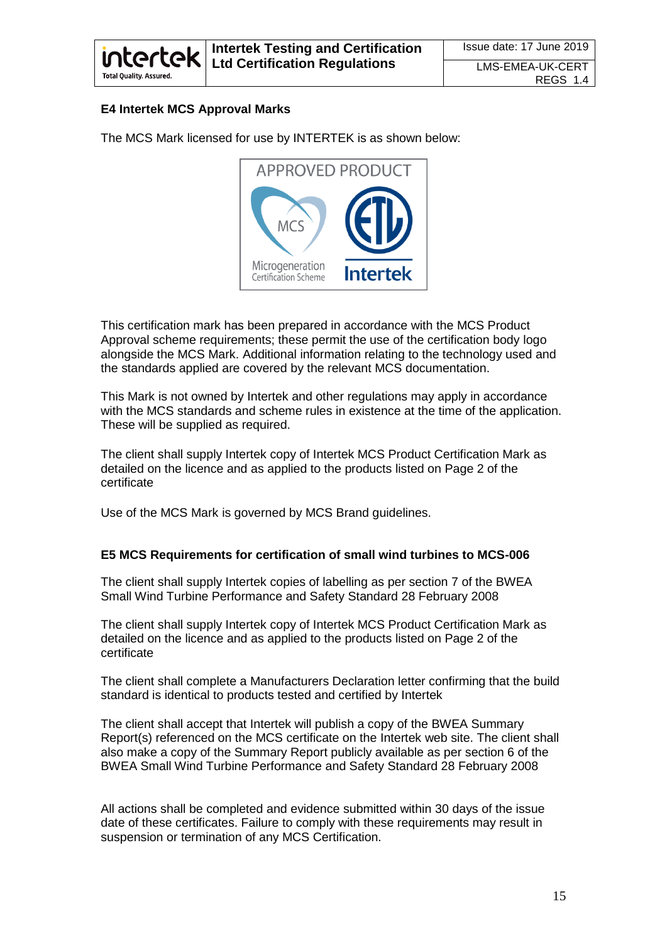

### **E4 Intertek MCS Approval Marks**

The MCS Mark licensed for use by INTERTEK is as shown below:



This certification mark has been prepared in accordance with the MCS Product Approval scheme requirements; these permit the use of the certification body logo alongside the MCS Mark. Additional information relating to the technology used and the standards applied are covered by the relevant MCS documentation.

This Mark is not owned by Intertek and other regulations may apply in accordance with the MCS standards and scheme rules in existence at the time of the application. These will be supplied as required.

The client shall supply Intertek copy of Intertek MCS Product Certification Mark as detailed on the licence and as applied to the products listed on Page 2 of the certificate

Use of the MCS Mark is governed by MCS Brand guidelines.

#### **E5 MCS Requirements for certification of small wind turbines to MCS-006**

The client shall supply Intertek copies of labelling as per section 7 of the BWEA Small Wind Turbine Performance and Safety Standard 28 February 2008

The client shall supply Intertek copy of Intertek MCS Product Certification Mark as detailed on the licence and as applied to the products listed on Page 2 of the certificate

The client shall complete a Manufacturers Declaration letter confirming that the build standard is identical to products tested and certified by Intertek

The client shall accept that Intertek will publish a copy of the BWEA Summary Report(s) referenced on the MCS certificate on the Intertek web site. The client shall also make a copy of the Summary Report publicly available as per section 6 of the BWEA Small Wind Turbine Performance and Safety Standard 28 February 2008

All actions shall be completed and evidence submitted within 30 days of the issue date of these certificates. Failure to comply with these requirements may result in suspension or termination of any MCS Certification.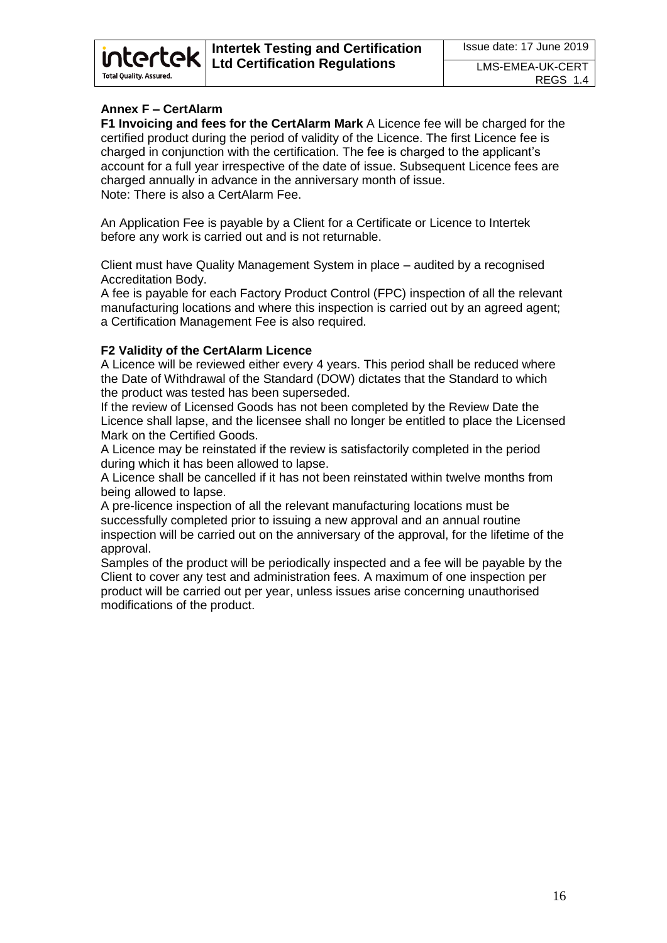# **Annex F – CertAlarm**

intertek

**Total Quality, Assured.** 

**F1 Invoicing and fees for the CertAlarm Mark** A Licence fee will be charged for the certified product during the period of validity of the Licence. The first Licence fee is charged in conjunction with the certification. The fee is charged to the applicant's account for a full year irrespective of the date of issue. Subsequent Licence fees are charged annually in advance in the anniversary month of issue. Note: There is also a CertAlarm Fee.

An Application Fee is payable by a Client for a Certificate or Licence to Intertek before any work is carried out and is not returnable.

Client must have Quality Management System in place – audited by a recognised Accreditation Body.

A fee is payable for each Factory Product Control (FPC) inspection of all the relevant manufacturing locations and where this inspection is carried out by an agreed agent; a Certification Management Fee is also required.

#### **F2 Validity of the CertAlarm Licence**

A Licence will be reviewed either every 4 years. This period shall be reduced where the Date of Withdrawal of the Standard (DOW) dictates that the Standard to which the product was tested has been superseded.

If the review of Licensed Goods has not been completed by the Review Date the Licence shall lapse, and the licensee shall no longer be entitled to place the Licensed Mark on the Certified Goods.

A Licence may be reinstated if the review is satisfactorily completed in the period during which it has been allowed to lapse.

A Licence shall be cancelled if it has not been reinstated within twelve months from being allowed to lapse.

A pre-licence inspection of all the relevant manufacturing locations must be successfully completed prior to issuing a new approval and an annual routine inspection will be carried out on the anniversary of the approval, for the lifetime of the approval.

Samples of the product will be periodically inspected and a fee will be payable by the Client to cover any test and administration fees. A maximum of one inspection per product will be carried out per year, unless issues arise concerning unauthorised modifications of the product.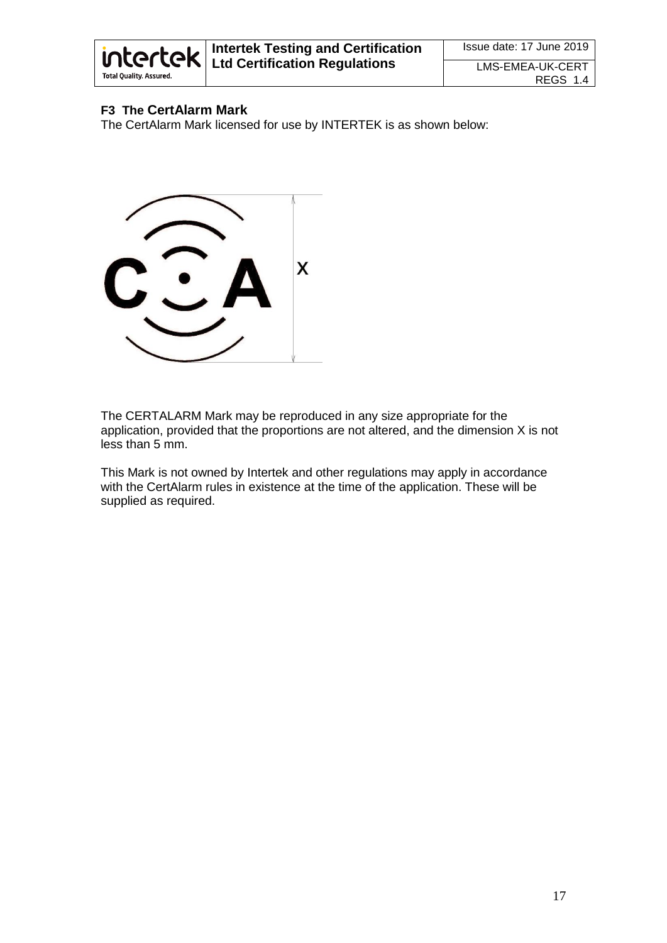

# **F3 The CertAlarm Mark**

The CertAlarm Mark licensed for use by INTERTEK is as shown below:



The CERTALARM Mark may be reproduced in any size appropriate for the application, provided that the proportions are not altered, and the dimension X is not less than 5 mm.

This Mark is not owned by Intertek and other regulations may apply in accordance with the CertAlarm rules in existence at the time of the application. These will be supplied as required.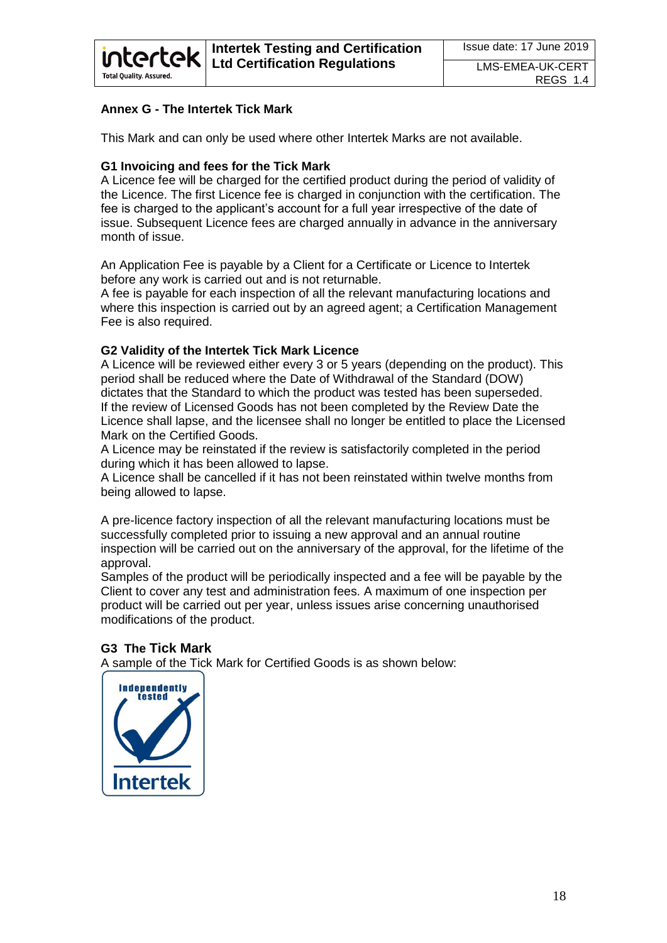# **Annex G - The Intertek Tick Mark**

*intertek* 

**Total Quality, Assured** 

This Mark and can only be used where other Intertek Marks are not available.

# **G1 Invoicing and fees for the Tick Mark**

A Licence fee will be charged for the certified product during the period of validity of the Licence. The first Licence fee is charged in conjunction with the certification. The fee is charged to the applicant's account for a full year irrespective of the date of issue. Subsequent Licence fees are charged annually in advance in the anniversary month of issue.

An Application Fee is payable by a Client for a Certificate or Licence to Intertek before any work is carried out and is not returnable.

A fee is payable for each inspection of all the relevant manufacturing locations and where this inspection is carried out by an agreed agent; a Certification Management Fee is also required.

### **G2 Validity of the Intertek Tick Mark Licence**

A Licence will be reviewed either every 3 or 5 years (depending on the product). This period shall be reduced where the Date of Withdrawal of the Standard (DOW) dictates that the Standard to which the product was tested has been superseded. If the review of Licensed Goods has not been completed by the Review Date the Licence shall lapse, and the licensee shall no longer be entitled to place the Licensed Mark on the Certified Goods.

A Licence may be reinstated if the review is satisfactorily completed in the period during which it has been allowed to lapse.

A Licence shall be cancelled if it has not been reinstated within twelve months from being allowed to lapse.

A pre-licence factory inspection of all the relevant manufacturing locations must be successfully completed prior to issuing a new approval and an annual routine inspection will be carried out on the anniversary of the approval, for the lifetime of the approval.

Samples of the product will be periodically inspected and a fee will be payable by the Client to cover any test and administration fees. A maximum of one inspection per product will be carried out per year, unless issues arise concerning unauthorised modifications of the product.

# **G3 The Tick Mark**

A sample of the Tick Mark for Certified Goods is as shown below:

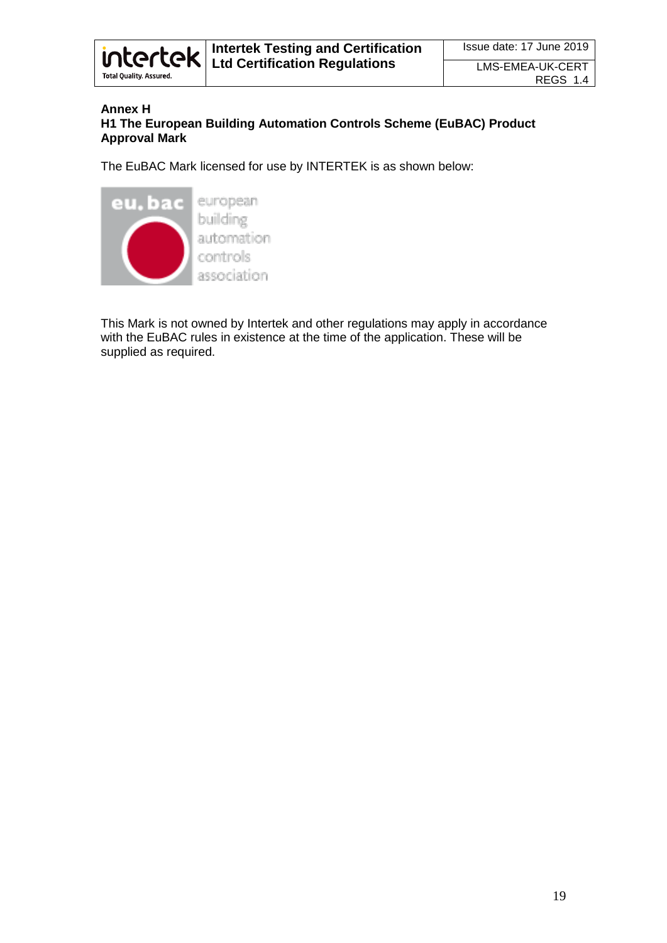

#### **Annex H H1 The European Building Automation Controls Scheme (EuBAC) Product Approval Mark**

The EuBAC Mark licensed for use by INTERTEK is as shown below:



This Mark is not owned by Intertek and other regulations may apply in accordance with the EuBAC rules in existence at the time of the application. These will be supplied as required.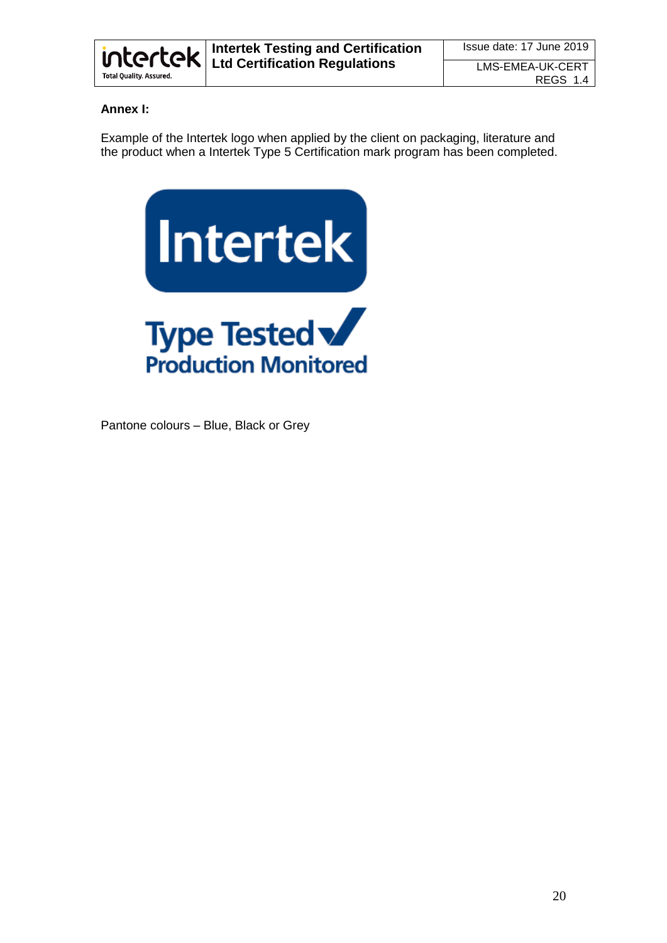

# **Annex I:**

Example of the Intertek logo when applied by the client on packaging, literature and the product when a Intertek Type 5 Certification mark program has been completed.



Pantone colours – Blue, Black or Grey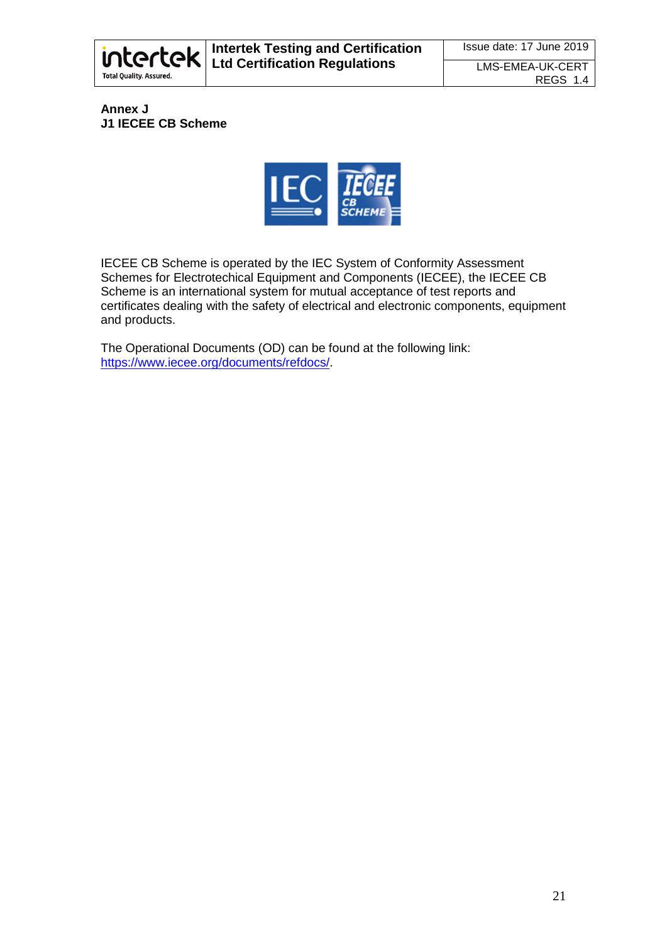

### **Annex J J1 IECEE CB Scheme**



IECEE CB Scheme is operated by the IEC System of Conformity Assessment Schemes for Electrotechical Equipment and Components (IECEE), the IECEE CB Scheme is an international system for mutual acceptance of test reports and certificates dealing with the safety of electrical and electronic components, equipment and products.

The Operational Documents (OD) can be found at the following link: [https://www.iecee.org/documents/refdocs/.](https://www.iecee.org/documents/refdocs/)